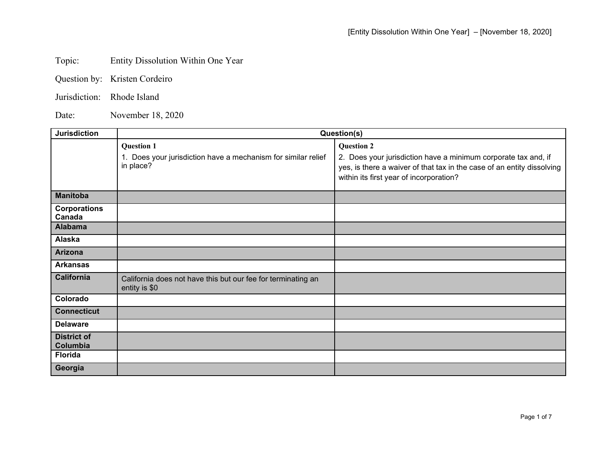## Topic: Entity Dissolution Within One Year

- Question by: Kristen Cordeiro
- Jurisdiction: Rhode Island

Date: November 18, 2020

| <b>Jurisdiction</b>                             | Question(s)                                                                                     |                                                                                                                                                                                                          |
|-------------------------------------------------|-------------------------------------------------------------------------------------------------|----------------------------------------------------------------------------------------------------------------------------------------------------------------------------------------------------------|
|                                                 | <b>Question 1</b><br>1. Does your jurisdiction have a mechanism for similar relief<br>in place? | <b>Question 2</b><br>2. Does your jurisdiction have a minimum corporate tax and, if<br>yes, is there a waiver of that tax in the case of an entity dissolving<br>within its first year of incorporation? |
| <b>Manitoba</b>                                 |                                                                                                 |                                                                                                                                                                                                          |
| <b>Corporations</b><br>Canada<br><b>Alabama</b> |                                                                                                 |                                                                                                                                                                                                          |
|                                                 |                                                                                                 |                                                                                                                                                                                                          |
| Alaska                                          |                                                                                                 |                                                                                                                                                                                                          |
| <b>Arizona</b>                                  |                                                                                                 |                                                                                                                                                                                                          |
| <b>Arkansas</b>                                 |                                                                                                 |                                                                                                                                                                                                          |
| <b>California</b>                               | California does not have this but our fee for terminating an<br>entity is \$0                   |                                                                                                                                                                                                          |
| Colorado                                        |                                                                                                 |                                                                                                                                                                                                          |
| <b>Connecticut</b>                              |                                                                                                 |                                                                                                                                                                                                          |
| <b>Delaware</b>                                 |                                                                                                 |                                                                                                                                                                                                          |
| <b>District of</b><br>Columbia                  |                                                                                                 |                                                                                                                                                                                                          |
| <b>Florida</b>                                  |                                                                                                 |                                                                                                                                                                                                          |
| Georgia                                         |                                                                                                 |                                                                                                                                                                                                          |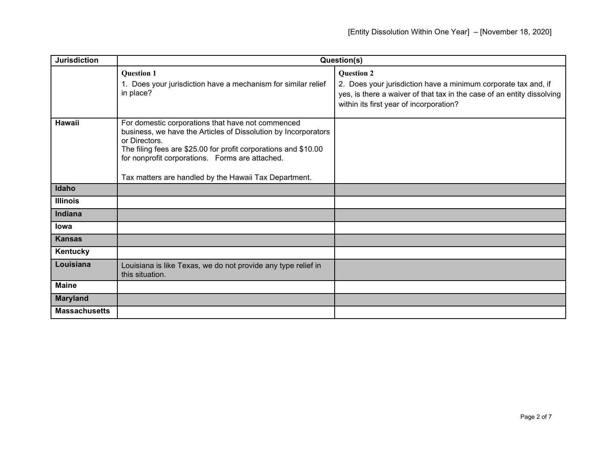| <b>Jurisdiction</b>  | Question(s)                                                                                                                                                                                                                                                                                                         |                                                                                                                                                                                                          |
|----------------------|---------------------------------------------------------------------------------------------------------------------------------------------------------------------------------------------------------------------------------------------------------------------------------------------------------------------|----------------------------------------------------------------------------------------------------------------------------------------------------------------------------------------------------------|
|                      | <b>Question 1</b><br>1. Does your jurisdiction have a mechanism for similar relief<br>in place?                                                                                                                                                                                                                     | <b>Question 2</b><br>2. Does your jurisdiction have a minimum corporate tax and, if<br>yes, is there a waiver of that tax in the case of an entity dissolving<br>within its first year of incorporation? |
| <b>Hawaii</b>        | For domestic corporations that have not commenced<br>business, we have the Articles of Dissolution by Incorporators<br>or Directors.<br>The filing fees are \$25.00 for profit corporations and \$10.00<br>for nonprofit corporations. Forms are attached.<br>Tax matters are handled by the Hawaii Tax Department. |                                                                                                                                                                                                          |
| Idaho                |                                                                                                                                                                                                                                                                                                                     |                                                                                                                                                                                                          |
| <b>Illinois</b>      |                                                                                                                                                                                                                                                                                                                     |                                                                                                                                                                                                          |
| Indiana              |                                                                                                                                                                                                                                                                                                                     |                                                                                                                                                                                                          |
| lowa                 |                                                                                                                                                                                                                                                                                                                     |                                                                                                                                                                                                          |
| <b>Kansas</b>        |                                                                                                                                                                                                                                                                                                                     |                                                                                                                                                                                                          |
| Kentucky             |                                                                                                                                                                                                                                                                                                                     |                                                                                                                                                                                                          |
| Louisiana            | Louisiana is like Texas, we do not provide any type relief in<br>this situation.                                                                                                                                                                                                                                    |                                                                                                                                                                                                          |
| <b>Maine</b>         |                                                                                                                                                                                                                                                                                                                     |                                                                                                                                                                                                          |
| <b>Maryland</b>      |                                                                                                                                                                                                                                                                                                                     |                                                                                                                                                                                                          |
| <b>Massachusetts</b> |                                                                                                                                                                                                                                                                                                                     |                                                                                                                                                                                                          |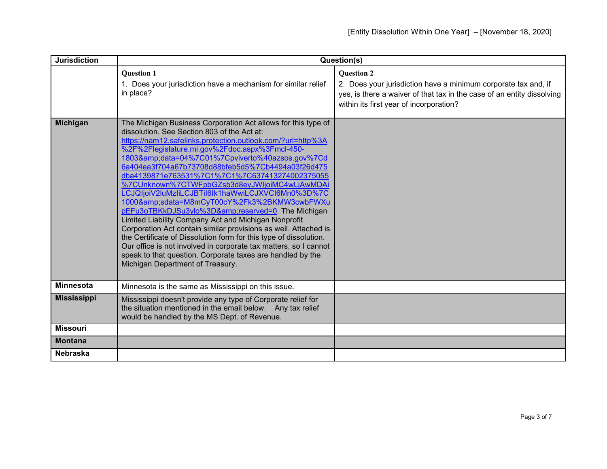| <b>Jurisdiction</b> | Question(s)                                                                                                                                                                                                                                                                                                                                                                                                                                                                                                                                                                                                                                                                                                                                                                                                                                                                                                                                                    |                                                                                                                                                                                                          |
|---------------------|----------------------------------------------------------------------------------------------------------------------------------------------------------------------------------------------------------------------------------------------------------------------------------------------------------------------------------------------------------------------------------------------------------------------------------------------------------------------------------------------------------------------------------------------------------------------------------------------------------------------------------------------------------------------------------------------------------------------------------------------------------------------------------------------------------------------------------------------------------------------------------------------------------------------------------------------------------------|----------------------------------------------------------------------------------------------------------------------------------------------------------------------------------------------------------|
|                     | <b>Question 1</b><br>1. Does your jurisdiction have a mechanism for similar relief<br>in place?                                                                                                                                                                                                                                                                                                                                                                                                                                                                                                                                                                                                                                                                                                                                                                                                                                                                | <b>Question 2</b><br>2. Does your jurisdiction have a minimum corporate tax and, if<br>yes, is there a waiver of that tax in the case of an entity dissolving<br>within its first year of incorporation? |
| <b>Michigan</b>     | The Michigan Business Corporation Act allows for this type of<br>dissolution. See Section 803 of the Act at:<br>https://nam12.safelinks.protection.outlook.com/?url=http%3A<br>%2F%2Flegislature.mi.gov%2Fdoc.aspx%3Fmcl-450-<br>1803&data=04%7C01%7Cpviverto%40azsos.gov%7Cd<br>6a404ea3f704a67b73708d88bfeb5d5%7Cb4494a03f26d475<br>dba4139871e763531%7C1%7C1%7C637413274002375055<br>%7CUnknown%7CTWFpbGZsb3d8eyJWIjoiMC4wLjAwMDAi<br>LCJQIjoiV2luMzliLCJBTil6lk1haWwiLCJXVCl6Mn0%3D%7C<br>1000&sdata=M8mCyT00cY%2Fk3%2BKMW3cwbFWXu<br>pEFu3oTBKkDJSu3ylo%3D&reserved=0. The Michigan<br>Limited Liability Company Act and Michigan Nonprofit<br>Corporation Act contain similar provisions as well. Attached is<br>the Certificate of Dissolution form for this type of dissolution.<br>Our office is not involved in corporate tax matters, so I cannot<br>speak to that question. Corporate taxes are handled by the<br>Michigan Department of Treasury. |                                                                                                                                                                                                          |
| <b>Minnesota</b>    | Minnesota is the same as Mississippi on this issue.                                                                                                                                                                                                                                                                                                                                                                                                                                                                                                                                                                                                                                                                                                                                                                                                                                                                                                            |                                                                                                                                                                                                          |
| <b>Mississippi</b>  | Mississippi doesn't provide any type of Corporate relief for<br>the situation mentioned in the email below. Any tax relief<br>would be handled by the MS Dept. of Revenue.                                                                                                                                                                                                                                                                                                                                                                                                                                                                                                                                                                                                                                                                                                                                                                                     |                                                                                                                                                                                                          |
| <b>Missouri</b>     |                                                                                                                                                                                                                                                                                                                                                                                                                                                                                                                                                                                                                                                                                                                                                                                                                                                                                                                                                                |                                                                                                                                                                                                          |
| <b>Montana</b>      |                                                                                                                                                                                                                                                                                                                                                                                                                                                                                                                                                                                                                                                                                                                                                                                                                                                                                                                                                                |                                                                                                                                                                                                          |
| <b>Nebraska</b>     |                                                                                                                                                                                                                                                                                                                                                                                                                                                                                                                                                                                                                                                                                                                                                                                                                                                                                                                                                                |                                                                                                                                                                                                          |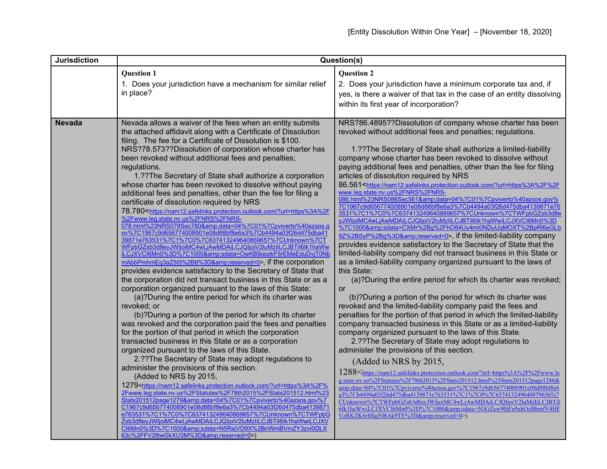| <b>Jurisdiction</b> | Question(s)                                                                                                                                                                                                                                                                                                                                                                                                                                                                                                                                                                                                                                                                                                                                                                                                                                                                                                                                                                                                                                                                                                                                                                                                                                                                                                                                                                                                                                                                                                                                                                                                                                                                                                                                                                                                                                                                                                                                                                                                                                                                                                                                                                                                                                                                                                                                                                       |                                                                                                                                                                                                                                                                                                                                                                                                                                                                                                                                                                                                                                                                                                                                                                                                                                                                                                                                                                                                                                                                                                                                                                                                                                                                                                                                                                                                                                                                                                                                                                                                                                                                                                                                                                                                                                                                                                                                                                                                                                                                                                                                                                                                                                                                                          |
|---------------------|-----------------------------------------------------------------------------------------------------------------------------------------------------------------------------------------------------------------------------------------------------------------------------------------------------------------------------------------------------------------------------------------------------------------------------------------------------------------------------------------------------------------------------------------------------------------------------------------------------------------------------------------------------------------------------------------------------------------------------------------------------------------------------------------------------------------------------------------------------------------------------------------------------------------------------------------------------------------------------------------------------------------------------------------------------------------------------------------------------------------------------------------------------------------------------------------------------------------------------------------------------------------------------------------------------------------------------------------------------------------------------------------------------------------------------------------------------------------------------------------------------------------------------------------------------------------------------------------------------------------------------------------------------------------------------------------------------------------------------------------------------------------------------------------------------------------------------------------------------------------------------------------------------------------------------------------------------------------------------------------------------------------------------------------------------------------------------------------------------------------------------------------------------------------------------------------------------------------------------------------------------------------------------------------------------------------------------------------------------------------------------------|------------------------------------------------------------------------------------------------------------------------------------------------------------------------------------------------------------------------------------------------------------------------------------------------------------------------------------------------------------------------------------------------------------------------------------------------------------------------------------------------------------------------------------------------------------------------------------------------------------------------------------------------------------------------------------------------------------------------------------------------------------------------------------------------------------------------------------------------------------------------------------------------------------------------------------------------------------------------------------------------------------------------------------------------------------------------------------------------------------------------------------------------------------------------------------------------------------------------------------------------------------------------------------------------------------------------------------------------------------------------------------------------------------------------------------------------------------------------------------------------------------------------------------------------------------------------------------------------------------------------------------------------------------------------------------------------------------------------------------------------------------------------------------------------------------------------------------------------------------------------------------------------------------------------------------------------------------------------------------------------------------------------------------------------------------------------------------------------------------------------------------------------------------------------------------------------------------------------------------------------------------------------------------------|
|                     | <b>Question 1</b><br>1. Does your jurisdiction have a mechanism for similar relief<br>in place?                                                                                                                                                                                                                                                                                                                                                                                                                                                                                                                                                                                                                                                                                                                                                                                                                                                                                                                                                                                                                                                                                                                                                                                                                                                                                                                                                                                                                                                                                                                                                                                                                                                                                                                                                                                                                                                                                                                                                                                                                                                                                                                                                                                                                                                                                   | <b>Question 2</b><br>2. Does your jurisdiction have a minimum corporate tax and, if<br>yes, is there a waiver of that tax in the case of an entity dissolving<br>within its first year of incorporation?                                                                                                                                                                                                                                                                                                                                                                                                                                                                                                                                                                                                                                                                                                                                                                                                                                                                                                                                                                                                                                                                                                                                                                                                                                                                                                                                                                                                                                                                                                                                                                                                                                                                                                                                                                                                                                                                                                                                                                                                                                                                                 |
| <b>Nevada</b>       | Nevada allows a waiver of the fees when an entity submits<br>the attached affidavit along with a Certificate of Dissolution<br>filing. The fee for a Certificate of Dissolution is \$100.<br>NRS?78.573??Dissolution of corporation whose charter has<br>been revoked without additional fees and penalties;<br>regulations.<br>1.?? The Secretary of State shall authorize a corporation<br>whose charter has been revoked to dissolve without paying<br>additional fees and penalties, other than the fee for filing a<br>certificate of dissolution required by NRS<br>78.780 <https: ?url="https%3A%2F&lt;br" nam12.safelinks.protection.outlook.com="">%2Fwww.leq.state.nv.us%2FNRS%2FNRS-<br/>078.html%23NRS078Sec780&amp;data=04%7C01%7Cpviverto%40azsos.g<br/>ov%7C1967c9d656774008901e08d88bf8e6a3%7Cb4494a03f26d475dba41<br/>39871e763531%7C1%7C0%7C637413249640869657%7CUnknown%7CT<br/>WFpbGZsb3d8eyJWljoiMC4wLjAwMDAiLCJQljoiV2luMzliLCJBTil6lk1haWw<br/>iLCJXVCI6Mn0%3D%7C1000&amp;sdata=OwKB9oozkF5rEMeEduDvjT0Nb<br/>mAbbPmhmEq3aZ5t5%2B8%3D&amp;reserved=0&gt;, if the corporation<br/>provides evidence satisfactory to the Secretary of State that<br/>the corporation did not transact business in this State or as a<br/>corporation organized pursuant to the laws of this State:<br/>(a)?During the entire period for which its charter was<br/>revoked; or<br/>(b)?During a portion of the period for which its charter<br/>was revoked and the corporation paid the fees and penalties<br/>for the portion of that period in which the corporation<br/>transacted business in this State or as a corporation<br/>organized pursuant to the laws of this State.<br/>2.?? The Secretary of State may adopt regulations to<br/>administer the provisions of this section.<br/>(Added to NRS by 2015,<br/>1279<https: ?url="https%3A%2F%&lt;br" nam12.safelinks.protection.outlook.com="">2Fwww.leg.state.nv.us%2FStatutes%2F78th2015%2FStats201512.html%23<br/>Stats201512page1279&amp;data=04%7C01%7Cpviverto%40azsos.gov%7<br/>C1967c9d656774008901e08d88bf8e6a3%7Cb4494a03f26d475dba4139871<br/>e763531%7C1%7C0%7C637413249640869657%7CUnknown%7CTWFpbG<br/>Zsb3d8eyJWljoiMC4wLjAwMDAiLCJQljoiV2luMzIiLCJBTiI6lk1haWwiLCJXV<br/>CI6Mn0%3D%7C1000&amp;sdata=N5RsjVD9X%2BnWmBVmZY3zvI0DLX<br/>63c%2FFV2lltwGkXU3M%3D&amp;reserved=0&gt;)</https:></https:> | NRS?86.4895??Dissolution of company whose charter has been<br>revoked without additional fees and penalties; regulations.<br>1.?? The Secretary of State shall authorize a limited-liability<br>company whose charter has been revoked to dissolve without<br>paying additional fees and penalties, other than the fee for filing<br>articles of dissolution required by NRS<br>86.561 <https: ?url="https%3A%2F%2F&lt;br" nam12.safelinks.protection.outlook.com="">www.leg.state.nv.us%2FNRS%2FNRS-<br/>086.html%23NRS086Sec561&amp;data=04%7C01%7Cpviverto%40azsos.gov%<br/>7C1967c9d656774008901e08d88bf8e6a3%7Cb4494a03f26d475dba4139871e76<br/>3531%7C1%7C0%7C637413249640869657%7CUnknown%7CTWFpbGZsb3d8e<br/>vJWlioiMC4wLiAwMDAiLCJQIioiV2luMzIiLCJBTiI6lk1haWwiLCJXVCl6Mn0%3D<br/>%7C1000&amp;sdata=CXMr%2Bg%2FhO84Uy4ml0NDuUqMOXT%2BpRl6eGLb<br/>9Z%2BSyP%2Bg%3D&amp;reserved=0&gt;, if the limited-liability company<br/>provides evidence satisfactory to the Secretary of State that the<br/>limited-liability company did not transact business in this State or<br/>as a limited-liability company organized pursuant to the laws of<br/>this State:<br/>(a)?During the entire period for which its charter was revoked;<br/><b>or</b><br/>(b)?During a portion of the period for which its charter was<br/>revoked and the limited-liability company paid the fees and<br/>penalties for the portion of that period in which the limited-liability<br/>company transacted business in this State or as a limited-liability<br/>company organized pursuant to the laws of this State.<br/>2.??The Secretary of State may adopt regulations to<br/>administer the provisions of this section.<br/>(Added to NRS by 2015,<br/>1288<https: ?url="https%3A%2F%2Fwww.le&lt;br" nam12.safelinks.protection.outlook.com="">g.state.nv.us%2FStatutes%2F78th2015%2FStats201512.html%23Stats201512page1288&amp;<br/>amp;data=04%7C01%7Cpviverto%40azsos.gov%7C1967c9d656774008901e08d88bf8e6<br/>a3%7Cb4494a03f26d475dba4139871e763531%7C1%7C0%7C637413249640879656%7<br/>CUnknown%7CTWFpbGZsb3d8eyJWIjoiMC4wLjAwMDAiLCJQIjoiV2luMzIiLCJBTiI<br/>6Ik1haWwiLCJXVCI6Mn0%3D%7C1000&amp;sdata=5GGZew90jFa9xhOeBbmfV4HF<br/>VzRKZK6rHIajNBAk9TE%3D&amp;reserved=0&gt;)</https:></https:> |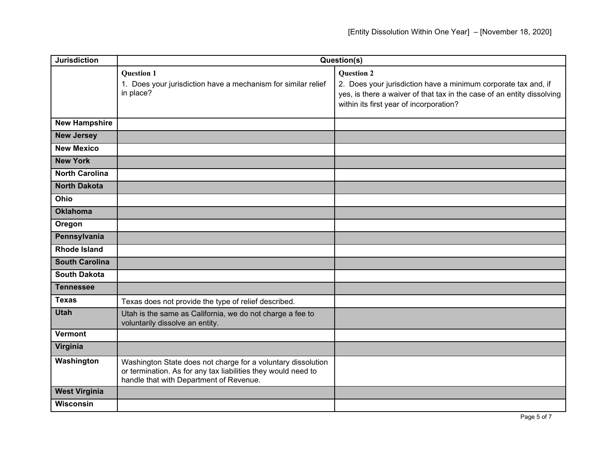| <b>Jurisdiction</b>   | Question(s)                                                                                                                                                              |                                                                                                                                                                                                          |
|-----------------------|--------------------------------------------------------------------------------------------------------------------------------------------------------------------------|----------------------------------------------------------------------------------------------------------------------------------------------------------------------------------------------------------|
|                       | <b>Question 1</b><br>1. Does your jurisdiction have a mechanism for similar relief<br>in place?                                                                          | <b>Question 2</b><br>2. Does your jurisdiction have a minimum corporate tax and, if<br>yes, is there a waiver of that tax in the case of an entity dissolving<br>within its first year of incorporation? |
| <b>New Hampshire</b>  |                                                                                                                                                                          |                                                                                                                                                                                                          |
| <b>New Jersey</b>     |                                                                                                                                                                          |                                                                                                                                                                                                          |
| <b>New Mexico</b>     |                                                                                                                                                                          |                                                                                                                                                                                                          |
| <b>New York</b>       |                                                                                                                                                                          |                                                                                                                                                                                                          |
| <b>North Carolina</b> |                                                                                                                                                                          |                                                                                                                                                                                                          |
| <b>North Dakota</b>   |                                                                                                                                                                          |                                                                                                                                                                                                          |
| Ohio                  |                                                                                                                                                                          |                                                                                                                                                                                                          |
| <b>Oklahoma</b>       |                                                                                                                                                                          |                                                                                                                                                                                                          |
| Oregon                |                                                                                                                                                                          |                                                                                                                                                                                                          |
| Pennsylvania          |                                                                                                                                                                          |                                                                                                                                                                                                          |
| <b>Rhode Island</b>   |                                                                                                                                                                          |                                                                                                                                                                                                          |
| <b>South Carolina</b> |                                                                                                                                                                          |                                                                                                                                                                                                          |
| <b>South Dakota</b>   |                                                                                                                                                                          |                                                                                                                                                                                                          |
| <b>Tennessee</b>      |                                                                                                                                                                          |                                                                                                                                                                                                          |
| <b>Texas</b>          | Texas does not provide the type of relief described.                                                                                                                     |                                                                                                                                                                                                          |
| <b>Utah</b>           | Utah is the same as California, we do not charge a fee to<br>voluntarily dissolve an entity.                                                                             |                                                                                                                                                                                                          |
| <b>Vermont</b>        |                                                                                                                                                                          |                                                                                                                                                                                                          |
| Virginia              |                                                                                                                                                                          |                                                                                                                                                                                                          |
| Washington            | Washington State does not charge for a voluntary dissolution<br>or termination. As for any tax liabilities they would need to<br>handle that with Department of Revenue. |                                                                                                                                                                                                          |
| <b>West Virginia</b>  |                                                                                                                                                                          |                                                                                                                                                                                                          |
| <b>Wisconsin</b>      |                                                                                                                                                                          |                                                                                                                                                                                                          |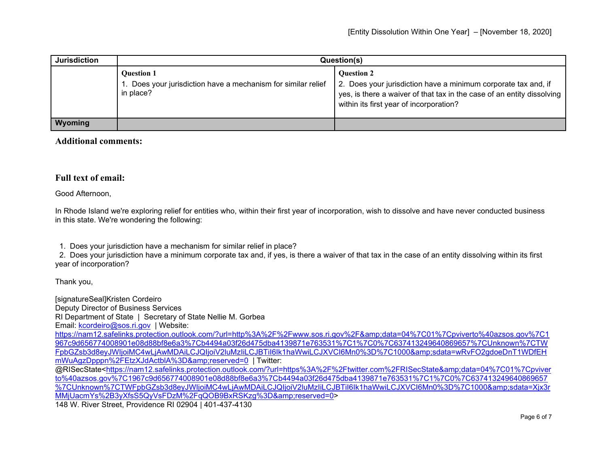| <b>Jurisdiction</b> | Question(s)                                                                                     |                                                                                                                                                                                                          |
|---------------------|-------------------------------------------------------------------------------------------------|----------------------------------------------------------------------------------------------------------------------------------------------------------------------------------------------------------|
|                     | <b>Ouestion 1</b><br>1. Does your jurisdiction have a mechanism for similar relief<br>in place? | <b>Ouestion 2</b><br>2. Does your jurisdiction have a minimum corporate tax and, if<br>yes, is there a waiver of that tax in the case of an entity dissolving<br>within its first year of incorporation? |
| <b>Wyoming</b>      |                                                                                                 |                                                                                                                                                                                                          |

## **Additional comments:**

## **Full text of email:**

Good Afternoon,

In Rhode Island we're exploring relief for entities who, within their first year of incorporation, wish to dissolve and have never conducted business in this state. We're wondering the following:

1. Does your jurisdiction have a mechanism for similar relief in place?

 2. Does your jurisdiction have a minimum corporate tax and, if yes, is there a waiver of that tax in the case of an entity dissolving within its first year of incorporation?

Thank you,

[signatureSeal]Kristen Cordeiro Deputy Director of Business Services RI Department of State | Secretary of State Nellie M. Gorbea Email: [kcordeiro@sos.ri.gov](mailto:kcordeiro@sos.ri.gov) | Website: [https://nam12.safelinks.protection.outlook.com/?url=http%3A%2F%2Fwww.sos.ri.gov%2F&data=04%7C01%7Cpviverto%40azsos.gov%7C1](https://nam12.safelinks.protection.outlook.com/?url=http%3A%2F%2Fwww.sos.ri.gov%2F&data=04%7C01%7Cpviverto%40azsos.gov%7C1967c9d656774008901e08d88bf8e6a3%7Cb4494a03f26d475dba4139871e763531%7C1%7C0%7C637413249640869657%7CUnknown%7CTWFpbGZsb3d8eyJWIjoiMC4wLjAwMDAiLCJQIjoiV2luMzIiLCJBTiI6Ik1haWwiLCJXVCI6Mn0%3D%7C1000&sdata=wRvFO2gdoeDnT1WDfEHmWuAgzDpppn%2FEtzXJdActblA%3D&reserved=0) [967c9d656774008901e08d88bf8e6a3%7Cb4494a03f26d475dba4139871e763531%7C1%7C0%7C637413249640869657%7CUnknown%7CTW](https://nam12.safelinks.protection.outlook.com/?url=http%3A%2F%2Fwww.sos.ri.gov%2F&data=04%7C01%7Cpviverto%40azsos.gov%7C1967c9d656774008901e08d88bf8e6a3%7Cb4494a03f26d475dba4139871e763531%7C1%7C0%7C637413249640869657%7CUnknown%7CTWFpbGZsb3d8eyJWIjoiMC4wLjAwMDAiLCJQIjoiV2luMzIiLCJBTiI6Ik1haWwiLCJXVCI6Mn0%3D%7C1000&sdata=wRvFO2gdoeDnT1WDfEHmWuAgzDpppn%2FEtzXJdActblA%3D&reserved=0) [FpbGZsb3d8eyJWIjoiMC4wLjAwMDAiLCJQIjoiV2luMzIiLCJBTiI6Ik1haWwiLCJXVCI6Mn0%3D%7C1000&sdata=wRvFO2gdoeDnT1WDfEH](https://nam12.safelinks.protection.outlook.com/?url=http%3A%2F%2Fwww.sos.ri.gov%2F&data=04%7C01%7Cpviverto%40azsos.gov%7C1967c9d656774008901e08d88bf8e6a3%7Cb4494a03f26d475dba4139871e763531%7C1%7C0%7C637413249640869657%7CUnknown%7CTWFpbGZsb3d8eyJWIjoiMC4wLjAwMDAiLCJQIjoiV2luMzIiLCJBTiI6Ik1haWwiLCJXVCI6Mn0%3D%7C1000&sdata=wRvFO2gdoeDnT1WDfEHmWuAgzDpppn%2FEtzXJdActblA%3D&reserved=0) mWuAgzDpppn%2FEtzXJdActblA%3D&amp:reserved=0 | Twitter: @RISecState[<https://nam12.safelinks.protection.outlook.com/?url=https%3A%2F%2Ftwitter.com%2FRISecState&amp;data=04%7C01%7Cpviver](https://nam12.safelinks.protection.outlook.com/?url=https%3A%2F%2Ftwitter.com%2FRISecState&data=04%7C01%7Cpviverto%40azsos.gov%7C1967c9d656774008901e08d88bf8e6a3%7Cb4494a03f26d475dba4139871e763531%7C1%7C0%7C637413249640869657%7CUnknown%7CTWFpbGZsb3d8eyJWIjoiMC4wLjAwMDAiLCJQIjoiV2luMzIiLCJBTiI6Ik1haWwiLCJXVCI6Mn0%3D%7C1000&sdata=Xjx3rMMjUacmYs%2B3yXfsS5QyVsFDzM%2FqQOB9BxRSKzg%3D&reserved=0) [to%40azsos.gov%7C1967c9d656774008901e08d88bf8e6a3%7Cb4494a03f26d475dba4139871e763531%7C1%7C0%7C637413249640869657](https://nam12.safelinks.protection.outlook.com/?url=https%3A%2F%2Ftwitter.com%2FRISecState&data=04%7C01%7Cpviverto%40azsos.gov%7C1967c9d656774008901e08d88bf8e6a3%7Cb4494a03f26d475dba4139871e763531%7C1%7C0%7C637413249640869657%7CUnknown%7CTWFpbGZsb3d8eyJWIjoiMC4wLjAwMDAiLCJQIjoiV2luMzIiLCJBTiI6Ik1haWwiLCJXVCI6Mn0%3D%7C1000&sdata=Xjx3rMMjUacmYs%2B3yXfsS5QyVsFDzM%2FqQOB9BxRSKzg%3D&reserved=0) %7CUnknown%7CTWFpbGZsb3d8eyJWIjoiMC4wLjAwMDAiLCJQIjoiV2luMzIiLCJBTil6Ik1haWwiLCJXVCI6Mn0%3D%7C1000&sdata=Xjx3r MMiUacmYs%2B3yXfsS5QyVsFDzM%2FqQOB9BxRSKzq%3D&amp:reserved=0> 148 W. River Street, Providence RI 02904 | 401-437-4130